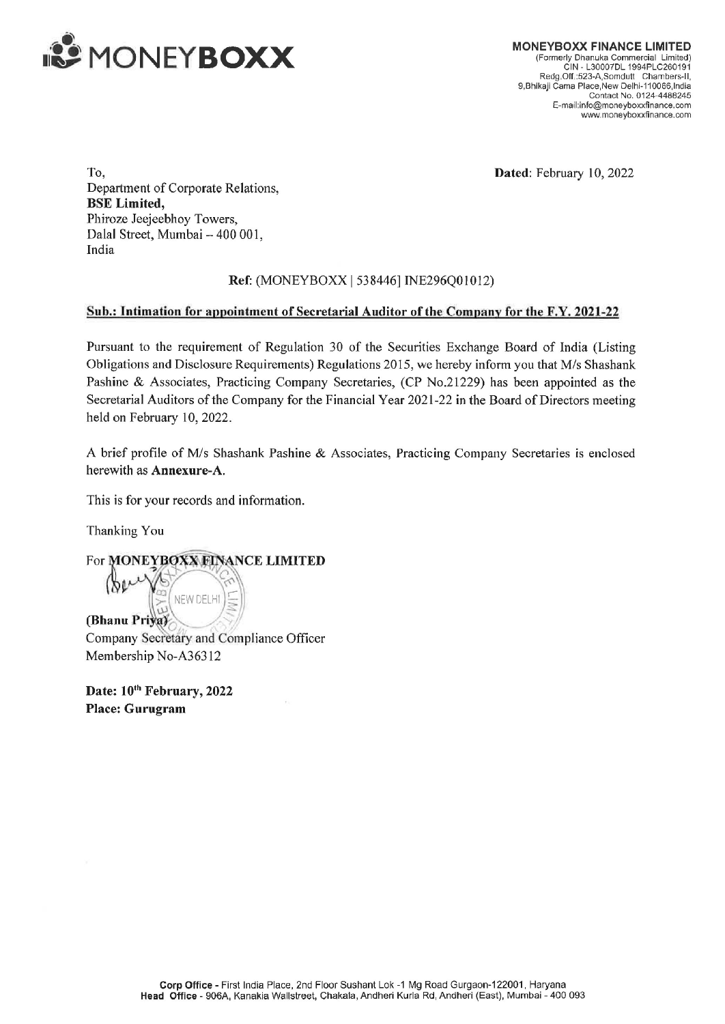

MONEYBOXX FINANCE LIMITED (Formerly Dhanuka Commercial Limited) CIN - L30007DL 1994PLC260191 Redg. Off .:523-A,Somdutt Chambers-ll, 9,Bhikaji Cama Place,New Delhi-110066, India Contact No. 0124-448B245 E-mail:info@moneyboxxfinance.com www.moneyboxxfinance.com

Dated: February 10, 2022

To, Department of Corporate Relations, BSE Limited, Phiroze Jeejeebhoy Towers, Dalal Street, Mumbai — 400 001, India

## Ref: (MONEY BOX<X | 538446] INE296Q01012)

## Sub.: Intimation for appointment of Secretarial Auditor of the Company for the F.Y. 2021-22

Pursuant to the requirement of Regulation 30 of the Securities Exchange Board of India (Listing Obligations and Disclosure Requirements) Regulations 2015, we hereby inform you that M/s Shashank Pashine & Associates, Practicing Company Secretaries, (CP No.21229) has been appointed as the Secretarial Auditors of the Company for the Financial Year 2021-22 in the Board of Directors meeting held on February 10, 2022.

A brief profile of M/s Shashank Pashine & Associates, Practicing Company Secretaries is enclosed herewith as Annexure-A.

This is for your records and information.

Thanking You

hanking You<br>hanking You<br>or MONEYBOXWEINANCE LIMITED

NEW DELHI (Bhanu Priva) Company Secretary and Compliance Officer Membership No-A363 12

Date:  $10^{th}$  February, 2022 Place: Gurugram